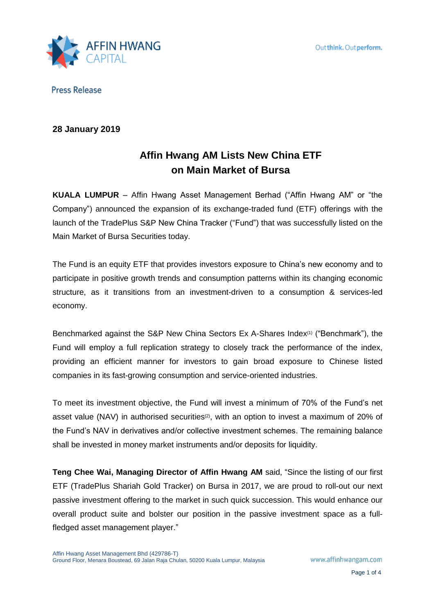

# **28 January 2019**

# **Affin Hwang AM Lists New China ETF on Main Market of Bursa**

**KUALA LUMPUR** – Affin Hwang Asset Management Berhad ("Affin Hwang AM" or "the Company") announced the expansion of its exchange-traded fund (ETF) offerings with the launch of the TradePlus S&P New China Tracker ("Fund") that was successfully listed on the Main Market of Bursa Securities today.

The Fund is an equity ETF that provides investors exposure to China's new economy and to participate in positive growth trends and consumption patterns within its changing economic structure, as it transitions from an investment-driven to a consumption & services-led economy.

Benchmarked against the S&P New China Sectors Ex A-Shares Index(1) ("Benchmark"), the Fund will employ a full replication strategy to closely track the performance of the index, providing an efficient manner for investors to gain broad exposure to Chinese listed companies in its fast-growing consumption and service-oriented industries.

To meet its investment objective, the Fund will invest a minimum of 70% of the Fund's net asset value (NAV) in authorised securities<sup>(2)</sup>, with an option to invest a maximum of 20% of the Fund's NAV in derivatives and/or collective investment schemes. The remaining balance shall be invested in money market instruments and/or deposits for liquidity.

**Teng Chee Wai, Managing Director of Affin Hwang AM** said, "Since the listing of our first ETF (TradePlus Shariah Gold Tracker) on Bursa in 2017, we are proud to roll-out our next passive investment offering to the market in such quick succession. This would enhance our overall product suite and bolster our position in the passive investment space as a fullfledged asset management player."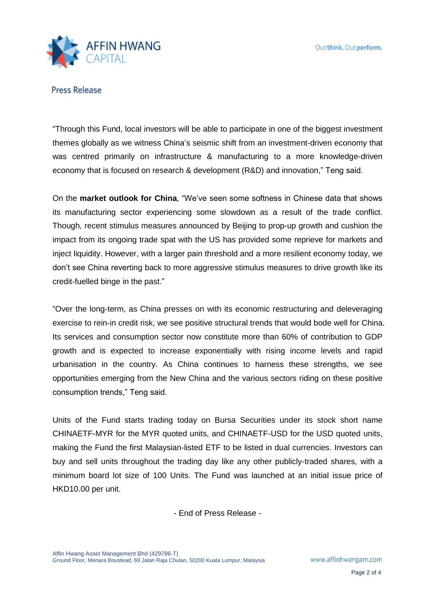

"Through this Fund, local investors will be able to participate in one of the biggest investment themes globally as we witness China's seismic shift from an investment-driven economy that was centred primarily on infrastructure & manufacturing to a more knowledge-driven economy that is focused on research & development (R&D) and innovation," Teng said.

On the **market outlook for China**, "We've seen some softness in Chinese data that shows its manufacturing sector experiencing some slowdown as a result of the trade conflict. Though, recent stimulus measures announced by Beijing to prop-up growth and cushion the impact from its ongoing trade spat with the US has provided some reprieve for markets and inject liquidity. However, with a larger pain threshold and a more resilient economy today, we don't see China reverting back to more aggressive stimulus measures to drive growth like its credit-fuelled binge in the past."

"Over the long-term, as China presses on with its economic restructuring and deleveraging exercise to rein-in credit risk, we see positive structural trends that would bode well for China. Its services and consumption sector now constitute more than 60% of contribution to GDP growth and is expected to increase exponentially with rising income levels and rapid urbanisation in the country. As China continues to harness these strengths, we see opportunities emerging from the New China and the various sectors riding on these positive consumption trends," Teng said.

Units of the Fund starts trading today on Bursa Securities under its stock short name CHINAETF-MYR for the MYR quoted units, and CHINAETF-USD for the USD quoted units, making the Fund the first Malaysian-listed ETF to be listed in dual currencies. Investors can buy and sell units throughout the trading day like any other publicly-traded shares, with a minimum board lot size of 100 Units. The Fund was launched at an initial issue price of HKD10.00 per unit.

- End of Press Release -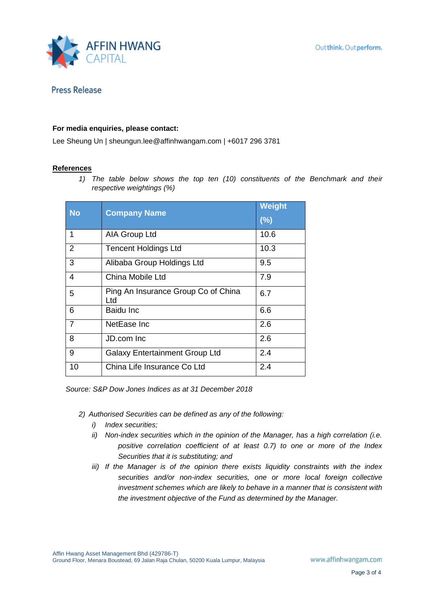

## **For media enquiries, please contact:**

Lee Sheung Un | sheungun.lee@affinhwangam.com | +6017 296 3781

### **References**

*1) The table below shows the top ten (10) constituents of the Benchmark and their respective weightings (%)*

| <b>No</b>      | <b>Company Name</b>                        | Weight<br>(%) |
|----------------|--------------------------------------------|---------------|
| 1              | AIA Group Ltd                              | 10.6          |
| 2              | <b>Tencent Holdings Ltd</b>                | 10.3          |
| 3              | Alibaba Group Holdings Ltd                 | 9.5           |
| 4              | China Mobile Ltd                           | 7.9           |
| 5              | Ping An Insurance Group Co of China<br>Ltd | 6.7           |
| 6              | Baidu Inc                                  | 6.6           |
| $\overline{7}$ | NetEase Inc                                | 2.6           |
| 8              | JD.com Inc                                 | 2.6           |
| 9              | <b>Galaxy Entertainment Group Ltd</b>      | 2.4           |
| 10             | China Life Insurance Co Ltd                | 2.4           |

*Source: S&P Dow Jones Indices as at 31 December 2018*

- *2) Authorised Securities can be defined as any of the following:*
	- *i) Index securities;*
	- *ii) Non-index securities which in the opinion of the Manager, has a high correlation (i.e. positive correlation coefficient of at least 0.7) to one or more of the Index Securities that it is substituting; and*
	- *iii) If the Manager is of the opinion there exists liquidity constraints with the index securities and/or non-index securities, one or more local foreign collective investment schemes which are likely to behave in a manner that is consistent with the investment objective of the Fund as determined by the Manager.*